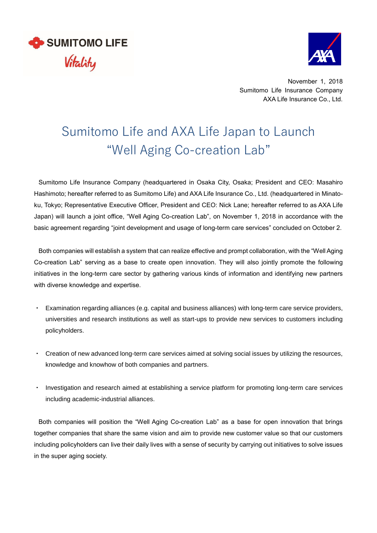



November 1, 2018 Sumitomo Life Insurance Company AXA Life Insurance Co., Ltd.

# Sumitomo Life and AXA Life Japan to Launch "Well Aging Co-creation Lab"

Sumitomo Life Insurance Company (headquartered in Osaka City, Osaka; President and CEO: Masahiro Hashimoto; hereafter referred to as Sumitomo Life) and AXA Life Insurance Co., Ltd. (headquartered in Minatoku, Tokyo; Representative Executive Officer, President and CEO: Nick Lane; hereafter referred to as AXA Life Japan) will launch a joint office, "Well Aging Co-creation Lab", on November 1, 2018 in accordance with the basic agreement regarding "joint development and usage of long-term care services" concluded on October 2.

Both companies will establish a system that can realize effective and prompt collaboration, with the "Well Aging Co-creation Lab" serving as a base to create open innovation. They will also jointly promote the following initiatives in the long-term care sector by gathering various kinds of information and identifying new partners with diverse knowledge and expertise.

- ・ Examination regarding alliances (e.g. capital and business alliances) with long-term care service providers, universities and research institutions as well as start-ups to provide new services to customers including policyholders.
- Creation of new advanced long-term care services aimed at solving social issues by utilizing the resources, knowledge and knowhow of both companies and partners.
- Investigation and research aimed at establishing a service platform for promoting long-term care services including academic-industrial alliances.

Both companies will position the "Well Aging Co-creation Lab" as a base for open innovation that brings together companies that share the same vision and aim to provide new customer value so that our customers including policyholders can live their daily lives with a sense of security by carrying out initiatives to solve issues in the super aging society.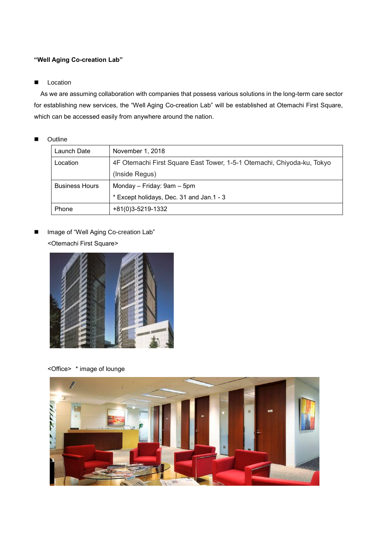## **"Well Aging Co-creation Lab"**

### **Location**

As we are assuming collaboration with companies that possess various solutions in the long-term care sector for establishing new services, the "Well Aging Co-creation Lab" will be established at Otemachi First Square, which can be accessed easily from anywhere around the nation.

**Outline** 

| Launch Date           | November 1, 2018                                                       |  |
|-----------------------|------------------------------------------------------------------------|--|
| Location              | 4F Otemachi First Square East Tower, 1-5-1 Otemachi, Chiyoda-ku, Tokyo |  |
|                       | (Inside Regus)                                                         |  |
| <b>Business Hours</b> | Monday - Friday: 9am - 5pm                                             |  |
|                       | * Except holidays, Dec. 31 and Jan.1 - 3                               |  |
| Phone                 | +81(0)3-5219-1332                                                      |  |

■ Image of "Well Aging Co-creation Lab" <Otemachi First Square>



<Office> \* image of lounge